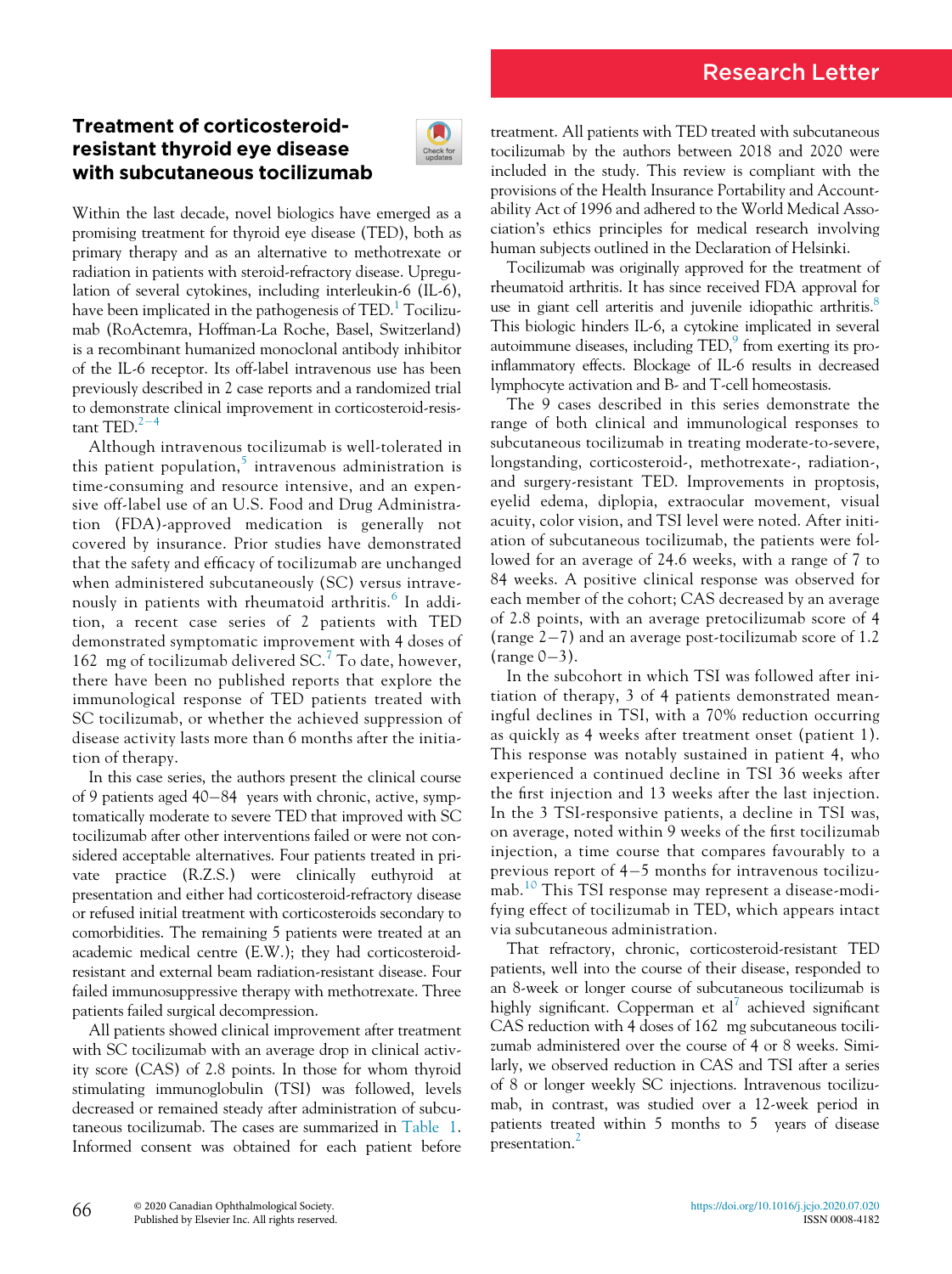# Research Letter

## Treatment of corticosteroidresistant thyroid eye disease with subcutaneous tocilizumab



Within the last decade, novel biologics have emerged as a promising treatment for thyroid eye disease (TED), both as primary therapy and as an alternative to methotrexate or radiation in patients with steroid-refractory disease. Upregulation of several cytokines, including interleukin-6 (IL-6), have been implicated in the pathogenesis of  $TED<sup>1</sup>$  Tocilizumab (RoActemra, Hoffman-La Roche, Basel, Switzerland) is a recombinant humanized monoclonal antibody inhibitor of the IL-6 receptor. Its off-label intravenous use has been previously described in 2 case reports and a randomized trial to demonstrate clinical improvement in corticosteroid-resistant  $\text{TED}$ <sup>[2](#page-3-1)-[4](#page-3-1)</sup>

Although intravenous tocilizumab is well-tolerated in this patient population,<sup>[5](#page-3-2)</sup> intravenous administration is time-consuming and resource intensive, and an expensive off-label use of an U.S. Food and Drug Administration (FDA)-approved medication is generally not covered by insurance. Prior studies have demonstrated that the safety and efficacy of tocilizumab are unchanged when administered subcutaneously (SC) versus intrave-nously in patients with rheumatoid arthritis.<sup>[6](#page-3-3)</sup> In addition, a recent case series of 2 patients with TED demonstrated symptomatic improvement with 4 doses of 162 mg of tocilizumab delivered  $SC<sup>7</sup>$  $SC<sup>7</sup>$  $SC<sup>7</sup>$  To date, however, there have been no published reports that explore the immunological response of TED patients treated with SC tocilizumab, or whether the achieved suppression of disease activity lasts more than 6 months after the initiation of therapy.

In this case series, the authors present the clinical course of 9 patients aged  $40-84$  years with chronic, active, symptomatically moderate to severe TED that improved with SC tocilizumab after other interventions failed or were not considered acceptable alternatives. Four patients treated in private practice (R.Z.S.) were clinically euthyroid at presentation and either had corticosteroid-refractory disease or refused initial treatment with corticosteroids secondary to comorbidities. The remaining 5 patients were treated at an academic medical centre (E.W.); they had corticosteroidresistant and external beam radiation-resistant disease. Four failed immunosuppressive therapy with methotrexate. Three patients failed surgical decompression.

All patients showed clinical improvement after treatment with SC tocilizumab with an average drop in clinical activity score (CAS) of 2.8 points. In those for whom thyroid stimulating immunoglobulin (TSI) was followed, levels decreased or remained steady after administration of subcutaneous tocilizumab. The cases are summarized in [Table 1](#page-1-0). Informed consent was obtained for each patient before

treatment. All patients with TED treated with subcutaneous tocilizumab by the authors between 2018 and 2020 were included in the study. This review is compliant with the provisions of the Health Insurance Portability and Accountability Act of 1996 and adhered to the World Medical Association's ethics principles for medical research involving human subjects outlined in the Declaration of Helsinki.

Tocilizumab was originally approved for the treatment of rheumatoid arthritis. It has since received FDA approval for use in giant cell arteritis and juvenile idiopathic arthritis.<sup>8</sup> This biologic hinders IL-6, a cytokine implicated in several autoimmune diseases, including  $\text{TED}$ , from exerting its proinflammatory effects. Blockage of IL-6 results in decreased lymphocyte activation and B- and T-cell homeostasis.

The 9 cases described in this series demonstrate the range of both clinical and immunological responses to subcutaneous tocilizumab in treating moderate-to-severe, longstanding, corticosteroid-, methotrexate-, radiation-, and surgery-resistant TED. Improvements in proptosis, eyelid edema, diplopia, extraocular movement, visual acuity, color vision, and TSI level were noted. After initiation of subcutaneous tocilizumab, the patients were followed for an average of 24.6 weeks, with a range of 7 to 84 weeks. A positive clinical response was observed for each member of the cohort; CAS decreased by an average of 2.8 points, with an average pretocilizumab score of 4 (range  $2-7$ ) and an average post-tocilizumab score of 1.2  $(range 0-3).$ 

In the subcohort in which TSI was followed after initiation of therapy, 3 of 4 patients demonstrated meaningful declines in TSI, with a 70% reduction occurring as quickly as 4 weeks after treatment onset (patient 1). This response was notably sustained in patient 4, who experienced a continued decline in TSI 36 weeks after the first injection and 13 weeks after the last injection. In the 3 TSI-responsive patients, a decline in TSI was, on average, noted within 9 weeks of the first tocilizumab injection, a time course that compares favourably to a previous report of  $4-5$  months for intravenous tocilizumab.[10](#page-4-1) This TSI response may represent a disease-modifying effect of tocilizumab in TED, which appears intact via subcutaneous administration.

That refractory, chronic, corticosteroid-resistant TED patients, well into the course of their disease, responded to an 8-week or longer course of subcutaneous tocilizumab is highly significant. Copperman et  $al^7$  $al^7$  achieved significant CAS reduction with 4 doses of 162 mg subcutaneous tocilizumab administered over the course of 4 or 8 weeks. Similarly, we observed reduction in CAS and TSI after a series of 8 or longer weekly SC injections. Intravenous tocilizumab, in contrast, was studied over a 12-week period in patients treated within 5 months to 5 years of disease presentation.<sup>[2](#page-3-1)</sup>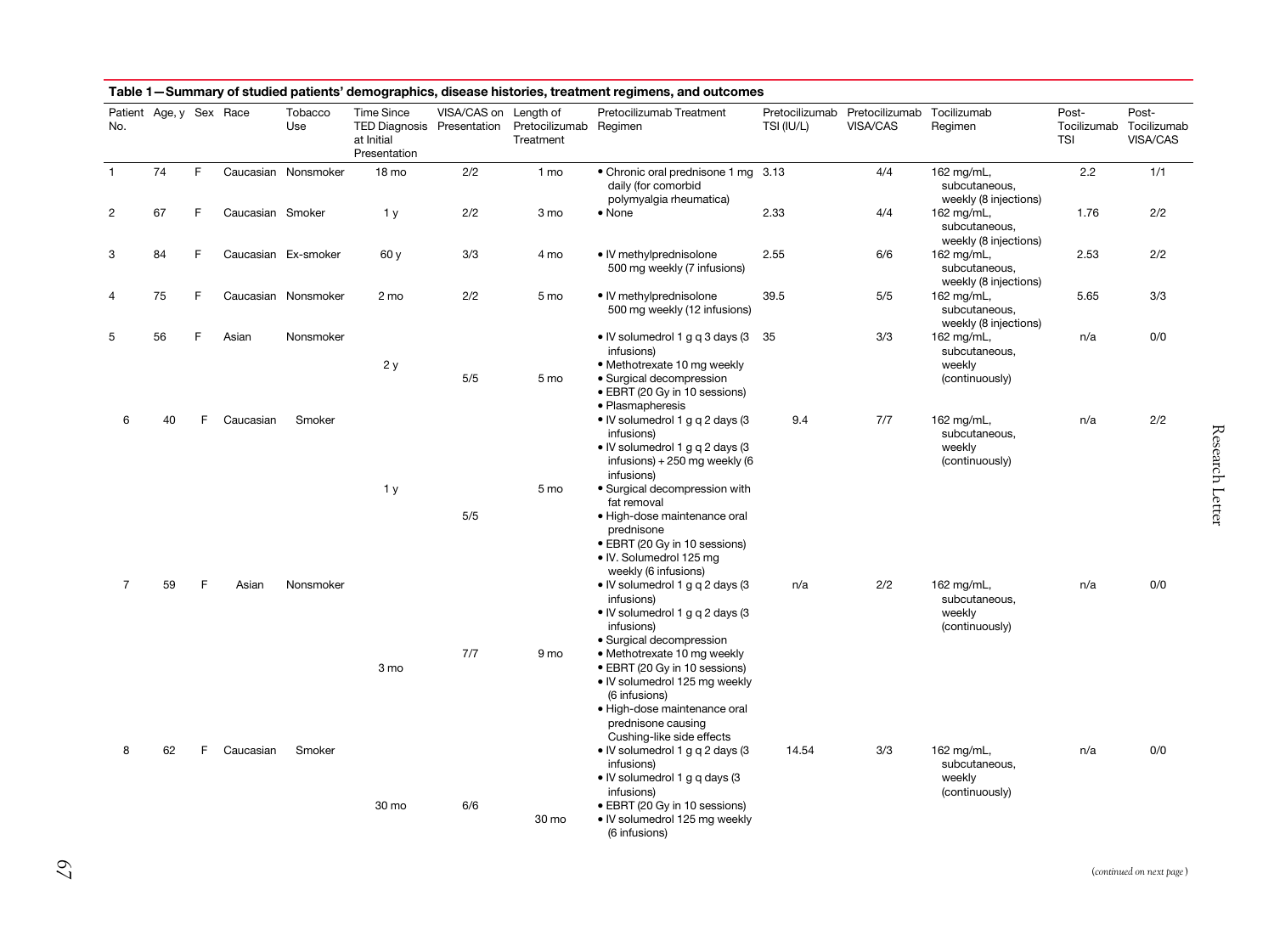<span id="page-1-0"></span>

| No.            | Patient Age, y Sex Race |    |                  | Tobacco<br>Use      | <b>Time Since</b><br>TED Diagnosis Presentation<br>at Initial<br>Presentation | VISA/CAS on Length of | Pretocilizumab Regimen<br>Treatment | Pretocilizumab Treatment                                                                                                                                                                          | TSI (IU/L) | Pretocilizumab Pretocilizumab<br>VISA/CAS | Tocilizumab<br>Regimen                                  | Post-<br>Tocilizumab<br>TSI | Post-<br>Tocilizumab<br>VISA/CAS |
|----------------|-------------------------|----|------------------|---------------------|-------------------------------------------------------------------------------|-----------------------|-------------------------------------|---------------------------------------------------------------------------------------------------------------------------------------------------------------------------------------------------|------------|-------------------------------------------|---------------------------------------------------------|-----------------------------|----------------------------------|
| $\overline{1}$ | 74                      | F. |                  | Caucasian Nonsmoker | 18 mo                                                                         | 2/2                   | 1 mo                                | • Chronic oral prednisone 1 mg 3.13<br>daily (for comorbid<br>polymyalgia rheumatica)                                                                                                             |            | 4/4                                       | 162 mg/mL,<br>subcutaneous,<br>weekly (8 injections)    | 2.2                         | 1/1                              |
| 2              | 67                      | F  | Caucasian Smoker |                     | 1 <sub>y</sub>                                                                | 2/2                   | 3 mo                                | • None                                                                                                                                                                                            | 2.33       | 4/4                                       | 162 mg/mL,<br>subcutaneous,<br>weekly (8 injections)    | 1.76                        | 2/2                              |
| 3              | 84                      | F  |                  | Caucasian Ex-smoker | 60 y                                                                          | 3/3                   | 4 mo                                | • IV methylprednisolone<br>500 mg weekly (7 infusions)                                                                                                                                            | 2.55       | 6/6                                       | 162 mg/mL,<br>subcutaneous,<br>weekly (8 injections)    | 2.53                        | 2/2                              |
| 4              | 75                      | F  |                  | Caucasian Nonsmoker | 2 mo                                                                          | 2/2                   | 5 mo                                | • IV methylprednisolone<br>500 mg weekly (12 infusions)                                                                                                                                           | 39.5       | 5/5                                       | 162 mg/mL,<br>subcutaneous,<br>weekly (8 injections)    | 5.65                        | 3/3                              |
| 5              | 56                      | F  | Asian            | Nonsmoker           | 2y                                                                            | 5/5                   | 5 mo                                | • IV solumedrol 1 g q 3 days (3<br>infusions)<br>• Methotrexate 10 mg weekly<br>· Surgical decompression<br>• EBRT (20 Gy in 10 sessions)<br>• Plasmapheresis                                     | 35         | 3/3                                       | 162 mg/mL,<br>subcutaneous,<br>weekly<br>(continuously) | n/a                         | 0/0                              |
| 6              | 40                      | F  | Caucasian        | Smoker              | 1 <sub>y</sub>                                                                |                       | 5 mo                                | • IV solumedrol 1 g q 2 days (3<br>infusions)<br>• IV solumedrol 1 g q 2 days (3<br>infusions) + 250 mg weekly (6<br>infusions)<br>• Surgical decompression with                                  | 9.4        | 7/7                                       | 162 mg/mL,<br>subcutaneous,<br>weekly<br>(continuously) | n/a                         | 2/2                              |
|                |                         |    |                  |                     |                                                                               | 5/5                   |                                     | fat removal<br>· High-dose maintenance oral<br>prednisone<br>• EBRT (20 Gy in 10 sessions)<br>• IV. Solumedrol 125 mg<br>weekly (6 infusions)                                                     |            |                                           |                                                         |                             |                                  |
| $\overline{7}$ | 59                      | F  | Asian            | Nonsmoker           |                                                                               |                       |                                     | • IV solumedrol 1 g q 2 days (3<br>infusions)<br>• IV solumedrol 1 g q 2 days (3<br>infusions)<br>• Surgical decompression                                                                        | n/a        | 2/2                                       | 162 mg/mL,<br>subcutaneous,<br>weekly<br>(continuously) | n/a                         | 0/0                              |
|                |                         |    |                  |                     | 3 mo                                                                          | 7/7                   | 9 mo                                | • Methotrexate 10 mg weekly<br>• EBRT (20 Gy in 10 sessions)<br>• IV solumedrol 125 mg weekly<br>(6 infusions)<br>· High-dose maintenance oral<br>prednisone causing<br>Cushing-like side effects |            |                                           |                                                         |                             |                                  |
| 8              | 62                      | F. | Caucasian        | Smoker              |                                                                               |                       |                                     | • IV solumedrol 1 g q 2 days (3<br>infusions)<br>• IV solumedrol 1 g g days (3)<br>infusions)                                                                                                     | 14.54      | 3/3                                       | 162 mg/mL,<br>subcutaneous,<br>weekly<br>(continuously) | n/a                         | 0/0                              |
|                |                         |    |                  |                     | 30 mo                                                                         | 6/6                   | 30 mo                               | • EBRT (20 Gy in 10 sessions)<br>• IV solumedrol 125 mg weekly<br>(6 infusions)                                                                                                                   |            |                                           |                                                         |                             |                                  |

67

Research Letter Research Letter

(continued on next page)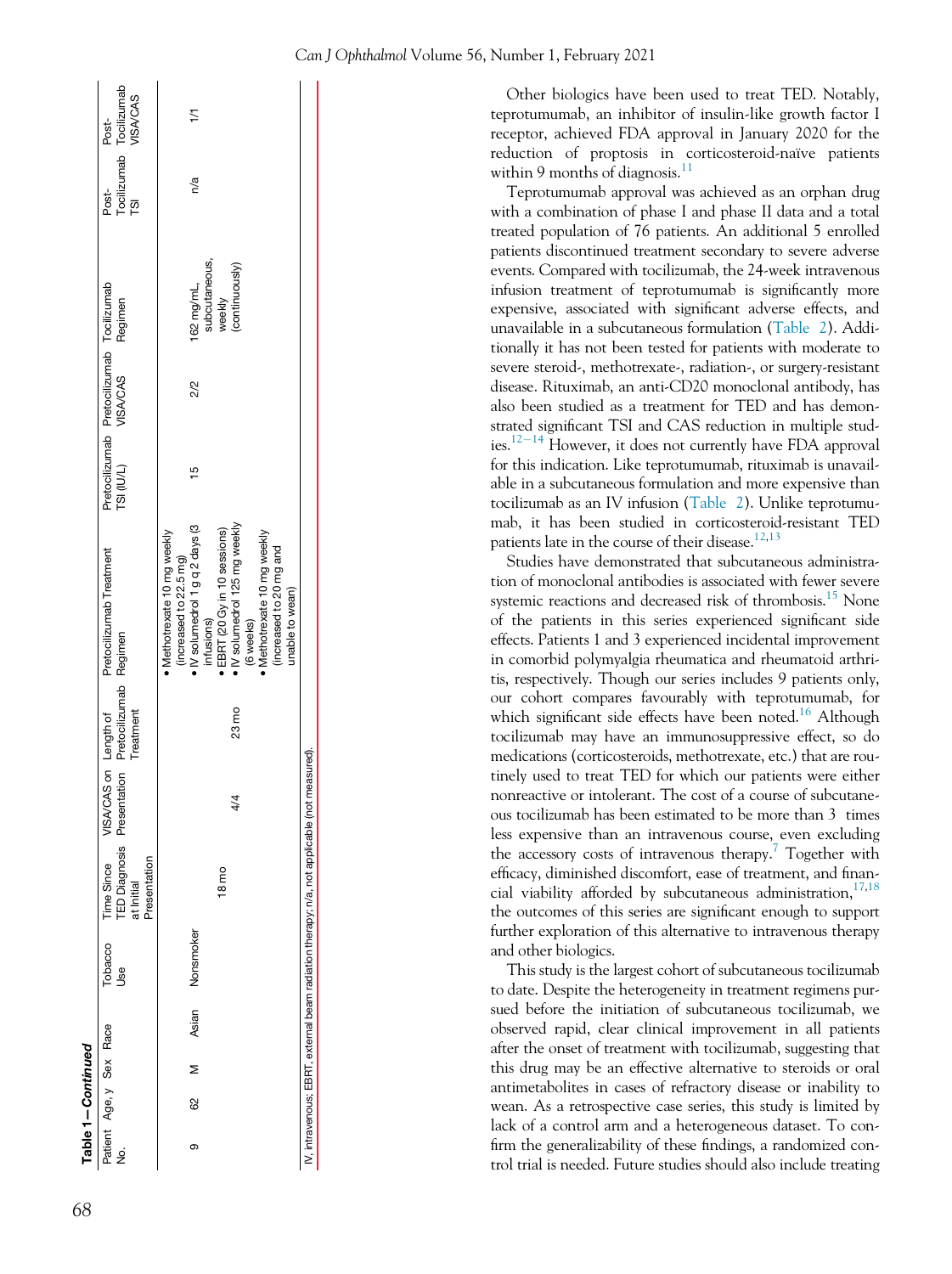| Can J Ophthalmol Volume 56, Number 1, February 2021 |  |  |  |
|-----------------------------------------------------|--|--|--|
|-----------------------------------------------------|--|--|--|

Other biologics have been used to treat TED. Notably, teprotumumab, an inhibitor of insulin-like growth factor I receptor, achieved FDA approval in January 2020 for the reduction of proptosis in corticosteroid-naïve patients within 9 months of diagnosis. $\frac{11}{11}$  $\frac{11}{11}$  $\frac{11}{11}$ 

Teprotumumab approval was achieved as an orphan drug with a combination of phase I and phase II data and a total treated population of 76 patients. An additional 5 enrolled patients discontinued treatment secondary to severe adverse events. Compared with tocilizumab, the 24-week intravenous infusion treatment of teprotumumab is significantly more expensive, associated with significant adverse effects, and unavailable in a subcutaneous formulation [\(Table 2](#page-3-6)). Additionally it has not been tested for patients with moderate to severe steroid-, methotrexate-, radiation-, or surgery-resistant disease. Rituximab, an anti-CD20 monoclonal antibody, has also been studied as a treatment for TED and has demonstrated significant TSI and CAS reduction in multiple studies. $12-14$  $12-14$  However, it does not currently have FDA approval for this indication. Like teprotumumab, rituximab is unavailable in a subcutaneous formulation and more expensive than tocilizumab as an IV infusion ([Table 2](#page-3-6)). Unlike teprotumumab, it has been studied in corticosteroid-resistant TED patients late in the course of their disease.<sup>12[,13](#page-4-4)</sup>

Studies have demonstrated that subcutaneous administration of monoclonal antibodies is associated with fewer severe systemic reactions and decreased risk of thrombosis.<sup>[15](#page-4-5)</sup> None of the patients in this series experienced significant side effects. Patients 1 and 3 experienced incidental improvement in comorbid polymyalgia rheumatica and rheumatoid arthritis, respectively. Though our series includes 9 patients only, our cohort compares favourably with teprotumumab, for which significant side effects have been noted.<sup>16</sup> Although tocilizumab may have an immunosuppressive effect, so do medications (corticosteroids, methotrexate, etc.) that are routinely used to treat TED for which our patients were either nonreactive or intolerant. The cost of a course of subcutaneous tocilizumab has been estimated to be more than 3 times less expensive than an intravenous course, even excluding the accessory costs of intravenous therapy.<sup>7</sup> Together with efficacy, diminished discomfort, ease of treatment, and financial viability afforded by subcutaneous administration, $17,18$  $17,18$ the outcomes of this series are significant enough to support further exploration of this alternative to intravenous therapy and other biologics.

This study is the largest cohort of subcutaneous tocilizumab to date. Despite the heterogeneity in treatment regimens pursued before the initiation of subcutaneous tocilizumab, we observed rapid, clear clinical improvement in all patients after the onset of treatment with tocilizumab, suggesting that this drug may be an effective alternative to steroids or oral antimetabolites in cases of refractory disease or inability to wean. As a retrospective case series, this study is limited by lack of a control arm and a heterogeneous dataset. To confirm the generalizability of these findings, a randomized control trial is needed. Future studies should also include treating

|   | Table 1-Continued       |                 |                |                                                                                |               |                                                                                           |                                                                                                                                                                                                                                                            |               |                                                       |                                                         |                   |                                              |
|---|-------------------------|-----------------|----------------|--------------------------------------------------------------------------------|---------------|-------------------------------------------------------------------------------------------|------------------------------------------------------------------------------------------------------------------------------------------------------------------------------------------------------------------------------------------------------------|---------------|-------------------------------------------------------|---------------------------------------------------------|-------------------|----------------------------------------------|
| ş | Patient Age, y Sex Race |                 | Tobacco<br>Use | Presentation<br>Time Since<br>at Initial                                       | VISAV         | <b>TED Diagnosis Presentation Pretocilizumab Regimen</b><br>CAS on Length of<br>Treatment | Pretocilizumab Treatment                                                                                                                                                                                                                                   | TSI (IU/L)    | Pretocilizumab Pretocilizumab Tocilizumab<br>VISA/CAS | Regimen                                                 | Post-<br>ี<br>คือ | Tocilizumab Tocilizumab<br>VISA/CAS<br>Post- |
| თ | 8                       | Asian<br>$\geq$ | Nonsmoker      | $18 \text{ mo}$                                                                | 24            | 23 mo                                                                                     | IV solumedrol 1 g q 2 days (3<br>. IV solumedrol 125 mg weekly<br>EBRT (20 Gy in 10 sessions)<br>Methotrexate 10 mg weekly<br>Methotrexate 10 mg weekly<br>(increased to 20 mg and<br>(increased to 22.5 mg)<br>unable to wean)<br>infusions)<br>(6 weeks) | $\frac{5}{1}$ | 2/2                                                   | subcutaneous,<br>(continuously)<br>162 mg/mL,<br>weekly | n/a               | 17                                           |
|   |                         |                 |                | V, intravenous; EBRT, external beam radiation therapy; n/a, not applicable (nc | ot measured). |                                                                                           |                                                                                                                                                                                                                                                            |               |                                                       |                                                         |                   |                                              |
|   |                         |                 |                |                                                                                |               |                                                                                           |                                                                                                                                                                                                                                                            |               |                                                       |                                                         |                   |                                              |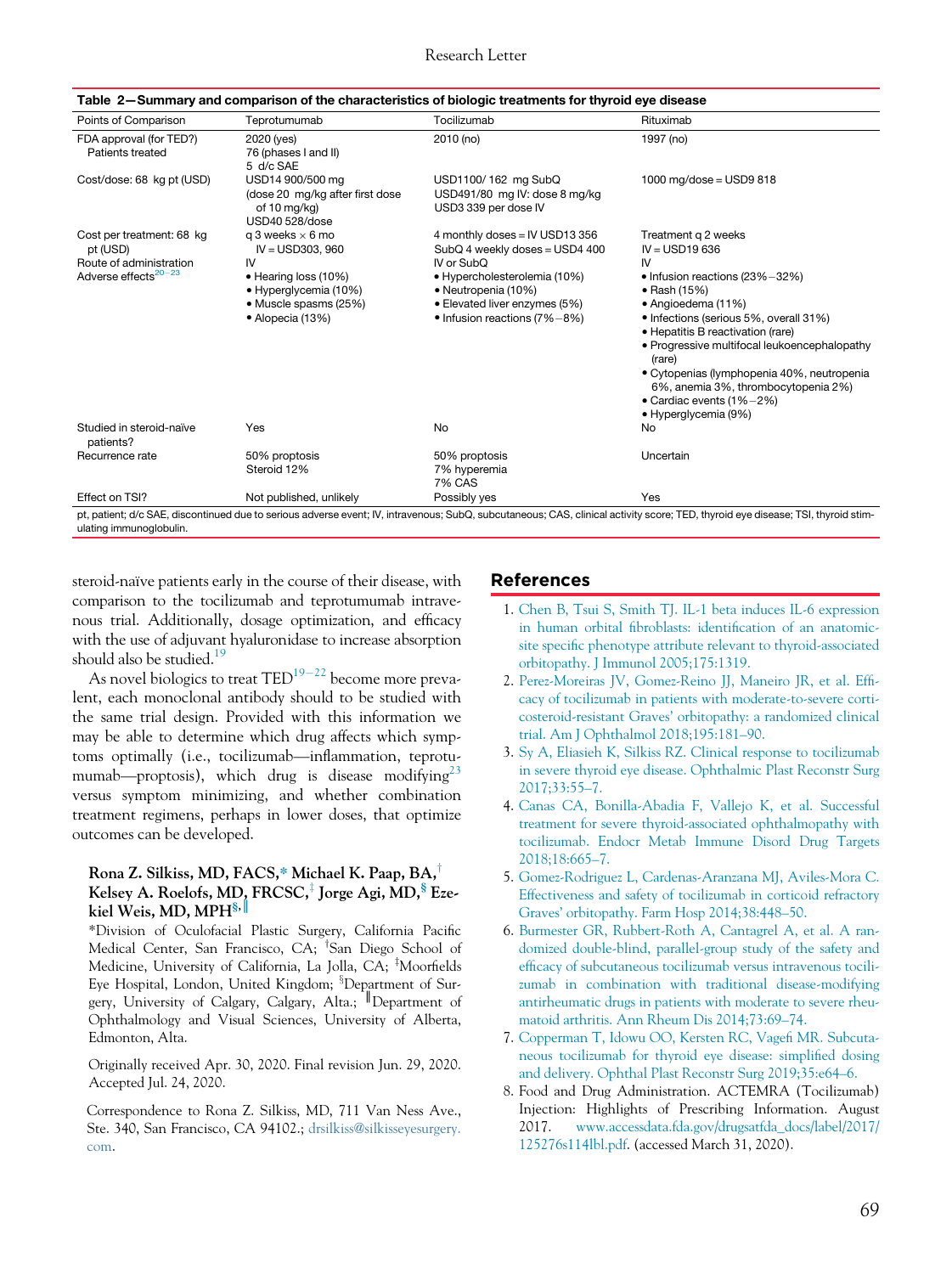<span id="page-3-6"></span>

| Points of Comparison                                        | Teprotumumab                                                                                     | Tocilizumab                                                                                                                                | Rituximab                                                                                                                                                                                                                                                                                                                                                        |
|-------------------------------------------------------------|--------------------------------------------------------------------------------------------------|--------------------------------------------------------------------------------------------------------------------------------------------|------------------------------------------------------------------------------------------------------------------------------------------------------------------------------------------------------------------------------------------------------------------------------------------------------------------------------------------------------------------|
| FDA approval (for TED?)<br>Patients treated                 | 2020 (yes)<br>76 (phases I and II)<br>5 d/c SAE                                                  | 2010 (no)                                                                                                                                  | 1997 (no)                                                                                                                                                                                                                                                                                                                                                        |
| Cost/dose: 68 kg pt (USD)                                   | USD14 900/500 mg<br>(dose 20 mg/kg after first dose<br>of 10 mg/kg)<br>USD40 528/dose            | USD1100/162 mg SubQ<br>USD491/80 mg IV: dose 8 mg/kg<br>USD3 339 per dose IV                                                               | 1000 mg/dose = $USD9 818$                                                                                                                                                                                                                                                                                                                                        |
| Cost per treatment: 68 kg<br>pt (USD)                       | q 3 weeks $\times$ 6 mo<br>$IV = USD303.960$                                                     | 4 monthly doses = IV USD13 356<br>SubQ 4 weekly doses = USD4 400                                                                           | Treatment g 2 weeks<br>$IV = USD19636$                                                                                                                                                                                                                                                                                                                           |
| Route of administration<br>Adverse effects <sup>20-23</sup> | IV<br>• Hearing loss (10%)<br>• Hyperglycemia (10%)<br>· Muscle spasms (25%)<br>• Alopecia (13%) | IV or SubO<br>• Hypercholesterolemia (10%)<br>• Neutropenia (10%)<br>• Elevated liver enzymes (5%)<br>$\bullet$ Infusion reactions (7%-8%) | IV<br>• Infusion reactions (23%-32%)<br>• Rash (15%)<br>• Angioedema (11%)<br>• Infections (serious 5%, overall 31%)<br>• Hepatitis B reactivation (rare)<br>• Progressive multifocal leukoencephalopathy<br>(rare)<br>• Cytopenias (lymphopenia 40%, neutropenia<br>6%, anemia 3%, thrombocytopenia 2%)<br>• Cardiac events $(1\%-2\%)$<br>• Hyperglycemia (9%) |
| Studied in steroid-naïve<br>patients?                       | Yes                                                                                              | No                                                                                                                                         | No                                                                                                                                                                                                                                                                                                                                                               |
| Recurrence rate                                             | 50% proptosis<br>Steroid 12%                                                                     | 50% proptosis<br>7% hyperemia<br><b>7% CAS</b>                                                                                             | Uncertain                                                                                                                                                                                                                                                                                                                                                        |
| Effect on TSI?                                              | Not published, unlikely                                                                          | Possibly yes                                                                                                                               | Yes                                                                                                                                                                                                                                                                                                                                                              |

Table 2—Summary and comparison of the characteristics of biologic treatments for thyroid eye disease

<span id="page-3-0"></span>steroid-naïve patients early in the course of their disease, with comparison to the tocilizumab and teprotumumab intravenous trial. Additionally, dosage optimization, and efficacy with the use of adjuvant hyaluronidase to increase absorption should also be studied. $1\frac{19}{2}$  $1\frac{19}{2}$  $1\frac{19}{2}$ 

<span id="page-3-1"></span>As novel biologics to treat  $\text{TED}^{19-22}$  $\text{TED}^{19-22}$  $\text{TED}^{19-22}$  become more prevalent, each monoclonal antibody should to be studied with the same trial design. Provided with this information we may be able to determine which drug affects which symptoms optimally (i.e., tocilizumab—inflammation, teprotu-mumab—proptosis), which drug is disease modifying<sup>[23](#page-4-10)</sup> versus symptom minimizing, and whether combination treatment regimens, perhaps in lower doses, that optimize outcomes can be developed.

#### <span id="page-3-2"></span>Rona Z. Silkiss, MD, FACS,\* Michael K. Paap, BA, Kelsey A. Roelofs, MD, FRCSC, ${}^{\ddagger}$  Jorge Agi, MD, ${}^{\$}$  Ezekiel Weis, MD, MPH<sup>§, ||</sup>

<span id="page-3-3"></span>\*Division of Oculofacial Plastic Surgery, California Pacific Medical Center, San Francisco, CA; <sup>†</sup>San Diego School of Medicine, University of California, La Jolla, CA; <sup>‡</sup>Moorfields Eye Hospital, London, United Kingdom; <sup>3</sup>Department of Surgery, University of Calgary, Calgary, Alta.; ║Department of Ophthalmology and Visual Sciences, University of Alberta, Edmonton, Alta.

<span id="page-3-4"></span>Originally received Apr. 30, 2020. Final revision Jun. 29, 2020. Accepted Jul. 24, 2020.

<span id="page-3-5"></span>Correspondence to Rona Z. Silkiss, MD, 711 Van Ness Ave., Ste. 340, San Francisco, CA 94102.; [drsilkiss@silkisseyesurgery.](mailto:drsilkiss@silkisseyesurgery.com) [com.](mailto:drsilkiss@silkisseyesurgery.com)

### References

- 1. [Chen B, Tsui S, Smith TJ. IL-1 beta induces IL-6 expression](http://refhub.elsevier.com/S0008-4182(20)30706-7/sbref0001) in human orbital fibroblasts: identifi[cation of an anatomic](http://refhub.elsevier.com/S0008-4182(20)30706-7/sbref0001)site specifi[c phenotype attribute relevant to thyroid-associated](http://refhub.elsevier.com/S0008-4182(20)30706-7/sbref0001) [orbitopathy. J Immunol 2005;175:1319.](http://refhub.elsevier.com/S0008-4182(20)30706-7/sbref0001)
- 2. [Perez-Moreiras JV, Gomez-Reino JJ, Maneiro JR, et al. Ef](http://refhub.elsevier.com/S0008-4182(20)30706-7/sbref0002)fi[cacy of tocilizumab in patients with moderate-to-severe corti](http://refhub.elsevier.com/S0008-4182(20)30706-7/sbref0002)costeroid-resistant Graves' [orbitopathy: a randomized clinical](http://refhub.elsevier.com/S0008-4182(20)30706-7/sbref0002) [trial. Am J Ophthalmol 2018;195:181](http://refhub.elsevier.com/S0008-4182(20)30706-7/sbref0002)–90.
- 3. [Sy A, Eliasieh K, Silkiss RZ. Clinical response to tocilizumab](http://refhub.elsevier.com/S0008-4182(20)30706-7/sbref0003) [in severe thyroid eye disease. Ophthalmic Plast Reconstr Surg](http://refhub.elsevier.com/S0008-4182(20)30706-7/sbref0003) [2017;33:55](http://refhub.elsevier.com/S0008-4182(20)30706-7/sbref0003)–7.
- 4. [Canas CA, Bonilla-Abadia F, Vallejo K, et al. Successful](http://refhub.elsevier.com/S0008-4182(20)30706-7/sbref0004) [treatment for severe thyroid-associated ophthalmopathy with](http://refhub.elsevier.com/S0008-4182(20)30706-7/sbref0004) [tocilizumab. Endocr Metab Immune Disord Drug Targets](http://refhub.elsevier.com/S0008-4182(20)30706-7/sbref0004) [2018;18:665](http://refhub.elsevier.com/S0008-4182(20)30706-7/sbref0004)–7.
- 5. [Gomez-Rodriguez L, Cardenas-Aranzana MJ, Aviles-Mora C.](http://refhub.elsevier.com/S0008-4182(20)30706-7/sbref0005) [Effectiveness and safety of tocilizumab in corticoid refractory](http://refhub.elsevier.com/S0008-4182(20)30706-7/sbref0005) Graves' [orbitopathy. Farm Hosp 2014;38:448](http://refhub.elsevier.com/S0008-4182(20)30706-7/sbref0005)–50.
- 6. [Burmester GR, Rubbert-Roth A, Cantagrel A, et al. A ran](http://refhub.elsevier.com/S0008-4182(20)30706-7/sbref0006)[domized double-blind, parallel-group study of the safety and](http://refhub.elsevier.com/S0008-4182(20)30706-7/sbref0006) effi[cacy of subcutaneous tocilizumab versus intravenous tocili](http://refhub.elsevier.com/S0008-4182(20)30706-7/sbref0006)[zumab in combination with traditional disease-modifying](http://refhub.elsevier.com/S0008-4182(20)30706-7/sbref0006) [antirheumatic drugs in patients with moderate to severe rheu](http://refhub.elsevier.com/S0008-4182(20)30706-7/sbref0006)[matoid arthritis. Ann Rheum Dis 2014;73:69](http://refhub.elsevier.com/S0008-4182(20)30706-7/sbref0006)–74.
- 7. [Copperman T, Idowu OO, Kersten RC, Vage](http://refhub.elsevier.com/S0008-4182(20)30706-7/sbref0007)fi MR. Subcuta[neous tocilizumab for thyroid eye disease: simpli](http://refhub.elsevier.com/S0008-4182(20)30706-7/sbref0007)fied dosing [and delivery. Ophthal Plast Reconstr Surg 2019;35:e64](http://refhub.elsevier.com/S0008-4182(20)30706-7/sbref0007)–6.
- 8. Food and Drug Administration. ACTEMRA (Tocilizumab) Injection: Highlights of Prescribing Information. August 2017. [www.accessdata.fda.gov/drugsatfda\\_docs/label/2017/](http://www.accessdata.fda.gov/drugsatfda_docs/label/2017/125276s114lbl.pdf) [125276s114lbl.pdf](http://www.accessdata.fda.gov/drugsatfda_docs/label/2017/125276s114lbl.pdf). (accessed March 31, 2020).